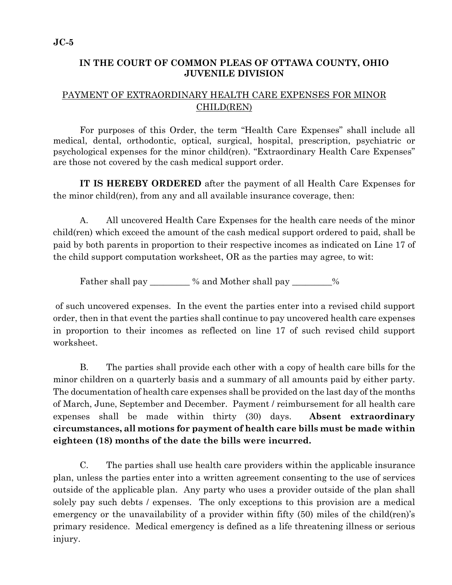## **IN THE COURT OF COMMON PLEAS OF OTTAWA COUNTY, OHIO JUVENILE DIVISION**

## PAYMENT OF EXTRAORDINARY HEALTH CARE EXPENSES FOR MINOR CHILD(REN)

 For purposes of this Order, the term "Health Care Expenses" shall include all medical, dental, orthodontic, optical, surgical, hospital, prescription, psychiatric or psychological expenses for the minor child(ren). "Extraordinary Health Care Expenses" are those not covered by the cash medical support order.

**IT IS HEREBY ORDERED** after the payment of all Health Care Expenses for the minor child(ren), from any and all available insurance coverage, then:

A. All uncovered Health Care Expenses for the health care needs of the minor child(ren) which exceed the amount of the cash medical support ordered to paid, shall be paid by both parents in proportion to their respective incomes as indicated on Line 17 of the child support computation worksheet, OR as the parties may agree, to wit:

Father shall pay \_\_\_\_\_\_\_\_ % and Mother shall pay \_\_\_\_\_\_\_%

 of such uncovered expenses. In the event the parties enter into a revised child support order, then in that event the parties shall continue to pay uncovered health care expenses in proportion to their incomes as reflected on line 17 of such revised child support worksheet.

B. The parties shall provide each other with a copy of health care bills for the minor children on a quarterly basis and a summary of all amounts paid by either party. The documentation of health care expenses shall be provided on the last day of the months of March, June, September and December. Payment / reimbursement for all health care expenses shall be made within thirty (30) days. **Absent extraordinary circumstances, all motions for payment of health care bills must be made within eighteen (18) months of the date the bills were incurred.**

C. The parties shall use health care providers within the applicable insurance plan, unless the parties enter into a written agreement consenting to the use of services outside of the applicable plan. Any party who uses a provider outside of the plan shall solely pay such debts / expenses. The only exceptions to this provision are a medical emergency or the unavailability of a provider within fifty (50) miles of the child(ren)'s primary residence. Medical emergency is defined as a life threatening illness or serious injury.